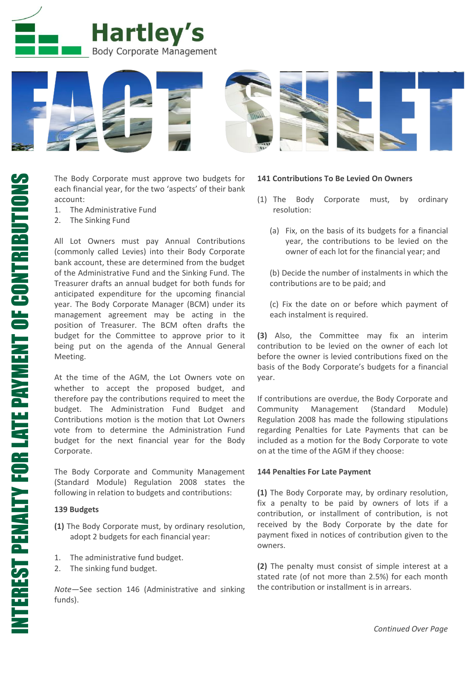



The Body Corporate must approve two budgets for each financial year, for the two 'aspects' of their bank account:

- 1. The Administrative Fund
- 2. The Sinking Fund

All Lot Owners must pay Annual Contributions (commonly called Levies) into their Body Corporate bank account, these are determined from the budget of the Administrative Fund and the Sinking Fund. The Treasurer drafts an annual budget for both funds for anticipated expenditure for the upcoming financial year. The Body Corporate Manager (BCM) under its management agreement may be acting in the position of Treasurer. The BCM often drafts the budget for the Committee to approve prior to it being put on the agenda of the Annual General Meeting.

At the time of the AGM, the Lot Owners vote on whether to accept the proposed budget, and therefore pay the contributions required to meet the budget. The Administration Fund Budget and Contributions motion is the motion that Lot Owners vote from to determine the Administration Fund budget for the next financial year for the Body Corporate.

The Body Corporate and Community Management (Standard Module) Regulation 2008 states the following in relation to budgets and contributions:

## **139 Budgets**

- **(1)** The Body Corporate must, by ordinary resolution, adopt 2 budgets for each financial year:
- 1. The administrative fund budget.
- 2. The sinking fund budget.

*Note*—See section 146 (Administrative and sinking funds).

#### **141 Contributions To Be Levied On Owners**

- (1) The Body Corporate must, by ordinary resolution:
	- (a) Fix, on the basis of its budgets for a financial year, the contributions to be levied on the owner of each lot for the financial year; and

(b) Decide the number of instalments in which the contributions are to be paid; and

(c) Fix the date on or before which payment of each instalment is required.

**(3)** Also, the Committee may fix an interim contribution to be levied on the owner of each lot before the owner is levied contributions fixed on the basis of the Body Corporate's budgets for a financial year.

If contributions are overdue, the Body Corporate and Community Management (Standard Module) Regulation 2008 has made the following stipulations regarding Penalties for Late Payments that can be included as a motion for the Body Corporate to vote on at the time of the AGM if they choose:

### **144 Penalties For Late Payment**

**(1)** The Body Corporate may, by ordinary resolution, fix a penalty to be paid by owners of lots if a contribution, or installment of contribution, is not received by the Body Corporate by the date for payment fixed in notices of contribution given to the owners.

**(2)** The penalty must consist of simple interest at a stated rate (of not more than 2.5%) for each month the contribution or installment is in arrears.